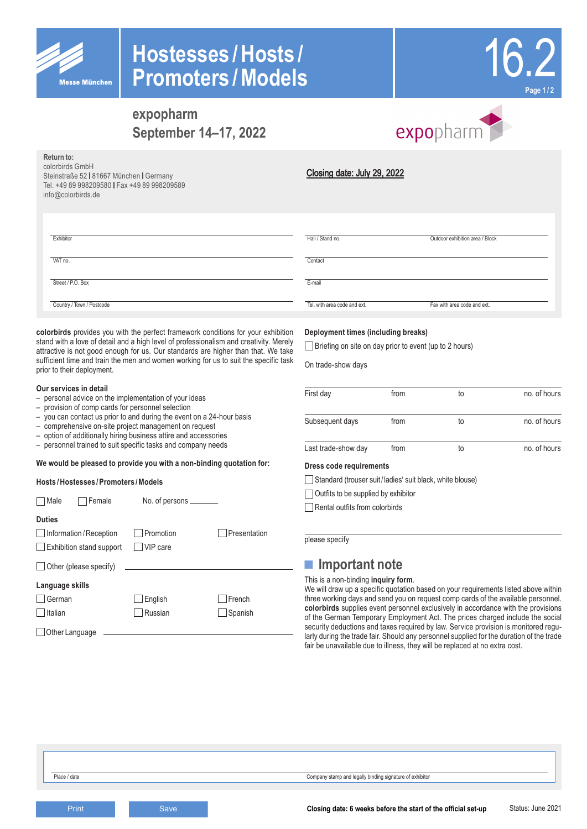

**Return to:** colorbirds GmbH

info@colorbirds.de

Steinstraße 52 | 81667 München | Germany Tel. +49 89 998209580 Fax +49 89 998209589

# **Hostesses /Hosts / Promoters /Models**



# **expopharm September 14–17, 2022**



### Closing date: July 29, 2022

| Exhibitor         | Hall / Stand no. | Outdoor exhibition area / Block |
|-------------------|------------------|---------------------------------|
| VAT no.           | Contact          |                                 |
| Street / P.O. Box | E-mail           |                                 |

**colorbirds** provides you with the perfect framework conditions for your exhibition stand with a love of detail and a high level of professionalism and creativity. Merely attractive is not good enough for us. Our standards are higher than that. We take sufficient time and train the men and women working for us to suit the specific task prior to their deployment.

### **Our services in detail**

Country / Town / Postcode

- personal advice on the implementation of your ideas
- provision of comp cards for personnel selection
- you can contact us prior to and during the event on a 24-hour basis
- comprehensive on-site project management on request
- option of additionally hiring business attire and accessories
- personnel trained to suit specific tasks and company needs

### **We would be pleased to provide you with a non-binding quotation for:**

#### **Hosts /Hostesses /Promoters /Models**

| Female<br>Male                  | No. of persons ________ |              |
|---------------------------------|-------------------------|--------------|
| <b>Duties</b>                   |                         |              |
| Information/Reception           | Promotion               | Presentation |
| <b>Exhibition stand support</b> | VIP care                |              |
| Other (please specify)          |                         |              |
| Language skills                 |                         |              |
| German                          | English                 | French       |
| Italian                         | Russian                 | Spanish      |
| Other Language                  |                         |              |

### **Deployment times (including breaks)**

Briefing on site on day prior to event (up to 2 hours)

Tel. with area code and ext. Fax with area code and ext.

On trade-show days

| First day           | from | to | no. of hours |
|---------------------|------|----|--------------|
| Subsequent days     | from | to | no. of hours |
| Last trade-show day | from | to | no. of hours |

### **Dress code requirements**

Standard (trouser suit / ladies' suit black, white blouse)

Outfits to be supplied by exhibitor

Rental outfits from colorbirds

please specify

### **■ Important note**

This is a non-binding **inquiry form**.

We will draw up a specific quotation based on your requirements listed above within three working days and send you on request comp cards of the available personnel. **colorbirds** supplies event personnel exclusively in accordance with the provisions of the German Temporary Employment Act. The prices charged include the social security deductions and taxes required by law. Service provision is monitored regularly during the trade fair. Should any personnel supplied for the duration of the trade fair be unavailable due to illness, they will be replaced at no extra cost.

Status: June 2021 **Print Save Save Save Save Set Line Same Save Set Line Set Line Set Line Set Line Set Line Set Line Set Line Set Line Set Line Set Line Set Line Set Line Set Line Set Line Set Line Set Line Set Line Set Line Set Line Set L**